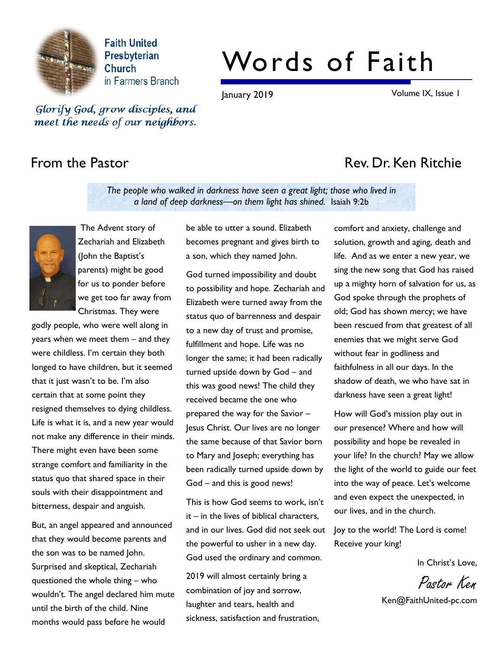

**Faith United** Presbyterian **Church** in Farmers Branch

# Words of Faith

January 2019 Volume IX, Issue 1

Glorify God, grow disciples, and meet the needs of our neighbors.

# From the Pastor **Rev. Dr. Ken Ritchie**

The people who walked in darkness have seen a great light; those who lived in a land of deep darkness—on them light has shined. Isaiah 9:2b



 The Advent story of Zechariah and Elizabeth (John the Baptist's parents) might be good for us to ponder before we get too far away from Christmas. They were

godly people, who were well along in years when we meet them – and they were childless. I'm certain they both longed to have children, but it seemed that it just wasn't to be. I'm also certain that at some point they resigned themselves to dying childless. Life is what it is, and a new year would not make any difference in their minds. There might even have been some strange comfort and familiarity in the status quo that shared space in their souls with their disappointment and bitterness, despair and anguish.

But, an angel appeared and announced that they would become parents and the son was to be named John. Surprised and skeptical, Zechariah questioned the whole thing – who wouldn't. The angel declared him mute until the birth of the child. Nine months would pass before he would

be able to utter a sound. Elizabeth becomes pregnant and gives birth to a son, which they named John.

God turned impossibility and doubt to possibility and hope. Zechariah and Elizabeth were turned away from the status quo of barrenness and despair to a new day of trust and promise, fulfillment and hope. Life was no longer the same; it had been radically turned upside down by God – and this was good news! The child they received became the one who prepared the way for the Savior – Jesus Christ. Our lives are no longer the same because of that Savior born to Mary and Joseph; everything has been radically turned upside down by God – and this is good news!

and in our lives. God did not seek out Joy to the world! The Lord is come! This is how God seems to work, isn't it – in the lives of biblical characters, the powerful to usher in a new day. God used the ordinary and common.

2019 will almost certainly bring a combination of joy and sorrow, laughter and tears, health and sickness, satisfaction and frustration, comfort and anxiety, challenge and solution, growth and aging, death and life. And as we enter a new year, we sing the new song that God has raised up a mighty horn of salvation for us, as God spoke through the prophets of old; God has shown mercy; we have been rescued from that greatest of all enemies that we might serve God without fear in godliness and faithfulness in all our days. In the shadow of death, we who have sat in darkness have seen a great light!

How will God's mission play out in our presence? Where and how will possibility and hope be revealed in your life? In the church? May we allow the light of the world to guide our feet into the way of peace. Let's welcome and even expect the unexpected, in our lives, and in the church.

Receive your king!

In Christ's Love,

Pastor Ken

Ken@FaithUnited-pc.com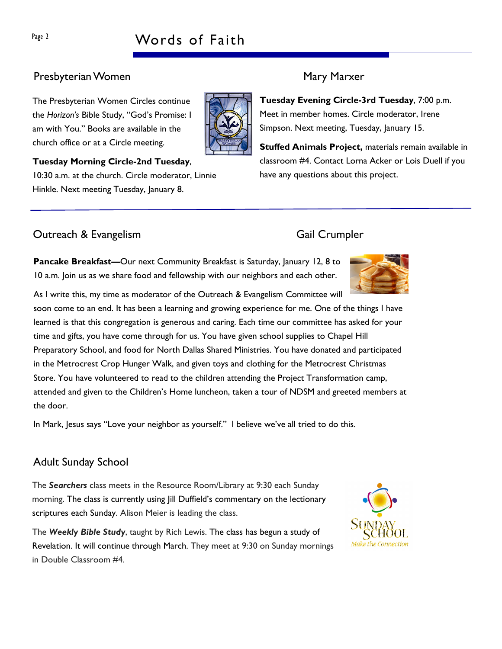# Page 2 Words of Faith

### Presbyterian Women Mary Marxer

The Presbyterian Women Circles continue the Horizon's Bible Study, "God's Promise: I am with You." Books are available in the church office or at a Circle meeting.

Tuesday Morning Circle-2nd Tuesday, 10:30 a.m. at the church. Circle moderator, Linnie Hinkle. Next meeting Tuesday, January 8.

### **Outreach & Evangelism** Gail Crumpler

Pancake Breakfast—Our next Community Breakfast is Saturday, January 12, 8 to 10 a.m. Join us as we share food and fellowship with our neighbors and each other.

As I write this, my time as moderator of the Outreach & Evangelism Committee will soon come to an end. It has been a learning and growing experience for me. One of the things I have learned is that this congregation is generous and caring. Each time our committee has asked for your time and gifts, you have come through for us. You have given school supplies to Chapel Hill Preparatory School, and food for North Dallas Shared Ministries. You have donated and participated in the Metrocrest Crop Hunger Walk, and given toys and clothing for the Metrocrest Christmas Store. You have volunteered to read to the children attending the Project Transformation camp, attended and given to the Children's Home luncheon, taken a tour of NDSM and greeted members at the door.

In Mark, Jesus says "Love your neighbor as yourself." I believe we've all tried to do this.

## Adult Sunday School

The Searchers class meets in the Resource Room/Library at 9:30 each Sunday morning. The class is currently using Jill Duffield's commentary on the lectionary scriptures each Sunday. Alison Meier is leading the class.

The Weekly Bible Study, taught by Rich Lewis. The class has begun a study of Revelation. It will continue through March. They meet at 9:30 on Sunday mornings in Double Classroom #4.

Tuesday Evening Circle-3rd Tuesday, 7:00 p.m. Meet in member homes. Circle moderator, Irene Simpson. Next meeting, Tuesday, January 15.

Stuffed Animals Project, materials remain available in classroom #4. Contact Lorna Acker or Lois Duell if you have any questions about this project.





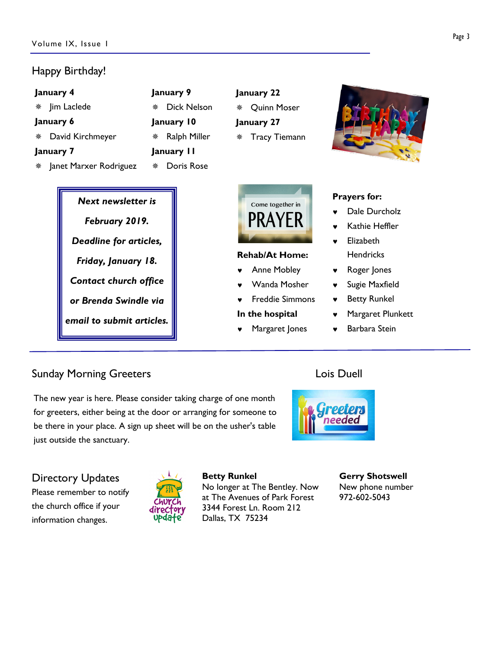### Happy Birthday!

| January 4              | January 9               | January 22              |  |  |
|------------------------|-------------------------|-------------------------|--|--|
| Jim Laclede<br>楽       | <b>Dick Nelson</b><br>楽 | <b>Quinn Moser</b><br>齋 |  |  |
| January 6              | January 10              | January 27              |  |  |
| David Kirchmeyer       | Ralph Miller<br>榮       | * Tracy Tiemann         |  |  |
| January 7              | January II              |                         |  |  |
| Janet Marxer Rodriguez | Doris Rose<br>凿         |                         |  |  |

Next newsletter is February 2019. Deadline for articles, Friday, January 18. Contact church office or Brenda Swindle via email to submit articles.



### Rehab/At Home:

- Anne Mobley
- Wanda Mosher
- **Freddie Simmons**
- In the hospital
- Margaret Jones



### Prayers for:

- Dale Durcholz
- Kathie Heffler
- **Elizabeth Hendricks**
- Roger Jones
- ♥ Sugie Maxfield
- ♥ Betty Runkel
- Margaret Plunkett
- **Barbara Stein**

### Sunday Morning Greeters **Lois Duell Constanting Greeters Lois Duell**

The new year is here. Please consider taking charge of one month for greeters, either being at the door or arranging for someone to be there in your place. A sign up sheet will be on the usher's table just outside the sanctuary.



Directory Updates Please remember to notify the church office if your information changes.



Betty Runkel No longer at The Bentley. Now at The Avenues of Park Forest 3344 Forest Ln. Room 212 Dallas, TX 75234

Gerry Shotswell New phone number 972-602-5043